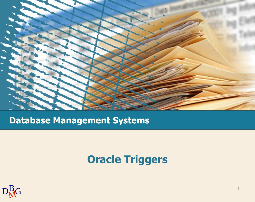

### **Database Management Systems**

## **Oracle Triggers**

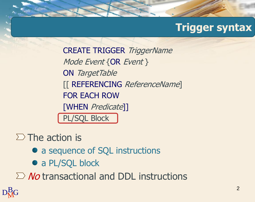## **Trigger syntax**

CREATE TRIGGER TriggerName Mode Event {OR Event } ON TargetTable [[ REFERENCING ReferenceName] FOR EACH ROW [WHEN Predicate]] PL/SQL Block

 $\Sigma$  The action is

- a sequence of SQL instructions
- a PL/SQL block

 $\sum$  No transactional and DDL instructions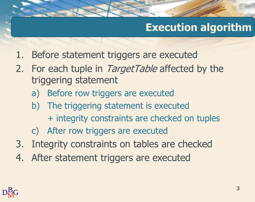## **Execution algorithm**

- 1. Before statement triggers are executed
- 2. For each tuple in TargetTable affected by the triggering statement
	- a) Before row triggers are executed
	- b) The triggering statement is executed + integrity constraints are checked on tuples
	- c) After row triggers are executed
- 3. Integrity constraints on tables are checked
- 4. After statement triggers are executed

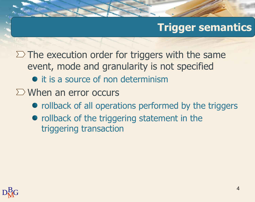## **Trigger semantics**

 $\Sigma$  The execution order for triggers with the same event, mode and granularity is not specified

- it is a source of non determinism
- $\Sigma$  When an error occurs
	- rollback of all operations performed by the triggers
	- rollback of the triggering statement in the triggering transaction

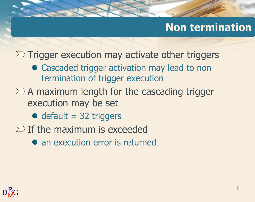## **Non termination**

 $\Sigma$  Trigger execution may activate other triggers

- Cascaded trigger activation may lead to non termination of trigger execution
- $\Sigma$  A maximum length for the cascading trigger execution may be set
	- $\bullet$  default = 32 triggers
- $\Sigma$  If the maximum is exceeded
	- an execution error is returned

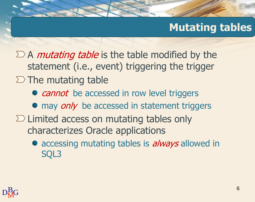## **Mutating tables**

 $\sum A$  mutating table is the table modified by the statement (i.e., event) triggering the trigger  $\Sigma$  The mutating table

- *cannot* be accessed in row level triggers
- $\bullet$  may *only* be accessed in statement triggers
- $\Sigma$  Limited access on mutating tables only characterizes Oracle applications
	- accessing mutating tables is *always* allowed in SQL3

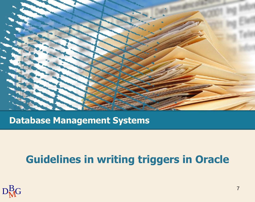

**Database Management Systems**

## **Guidelines in writing triggers in Oracle**

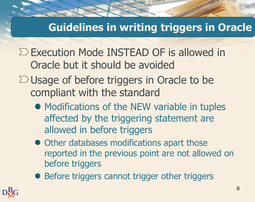## **Guidelines in writing triggers in Oracle**

- $\Sigma$  Execution Mode INSTEAD OF is allowed in Oracle but it should be avoided
- $\Sigma$  Usage of before triggers in Oracle to be compliant with the standard
	- Modifications of the NEW variable in tuples affected by the triggering statement are allowed in before triggers
	- $\bullet$  Other databases modifications apart those reported in the previous point are not allowed on before triggers
	- **Before triggers cannot trigger other triggers**

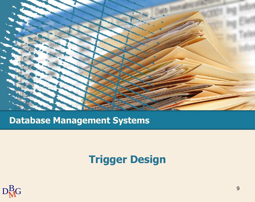

### **Database Management Systems**

## **Trigger Design**

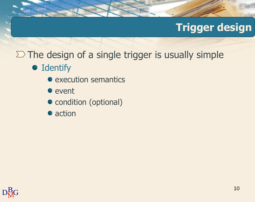## **Trigger design**

## $\Sigma$  The design of a single trigger is usually simple

### **•** Identify

- execution semantics
- event
- condition (optional)
- action

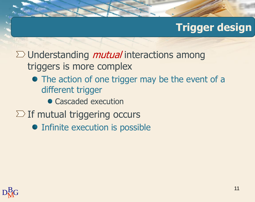## **Trigger design**

 $\sum$  Understanding *mutual* interactions among triggers is more complex

- The action of one trigger may be the event of a different trigger
	- Cascaded execution
- $\Sigma$  If mutual triggering occurs
	- Infinite execution is possible

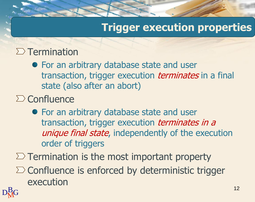## **Trigger execution properties**

### $\Sigma$  Termination

For an arbitrary database state and user transaction, trigger execution *terminates* in a final state (also after an abort)

### $\sum$  Confluence

For an arbitrary database state and user transaction, trigger execution *terminates in a* unique final state, independently of the execution order of triggers

 $\Sigma$  Termination is the most important property

 $\Sigma$  Confluence is enforced by deterministic trigger execution

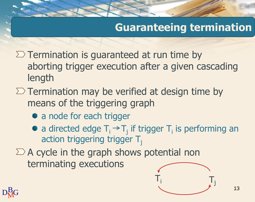## **Guaranteeing termination**

- $\Sigma$  Termination is guaranteed at run time by aborting trigger execution after a given cascading length
- $\Sigma$  Termination may be verified at design time by means of the triggering graph
	- a node for each trigger
	- a directed edge  $T_i \rightarrow T_j$  if trigger  $T_i$  is performing an action triggering trigger  $T_i$
- $\Sigma$  A cycle in the graph shows potential non terminating executions



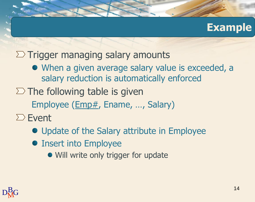### **Example**

### $\Sigma$  Trigger managing salary amounts

- When a given average salary value is exceeded, a salary reduction is automatically enforced
- $\Sigma$  The following table is given Employee (Emp#, Ename, ..., Salary)
- $\Sigma$  Event
	- Update of the Salary attribute in Employee
	- Insert into Employee
		- Will write only trigger for update

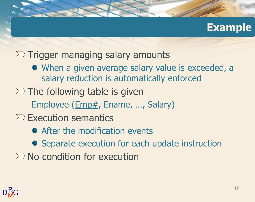### **Example**

### $\Sigma$  Trigger managing salary amounts

- When a given average salary value is exceeded, a salary reduction is automatically enforced
- $\Sigma$  The following table is given Employee (Emp#, Ename, ..., Salary)
- $\sum$  Execution semantics
	- After the modification events
	- Separate execution for each update instruction
- $\Sigma$  No condition for execution

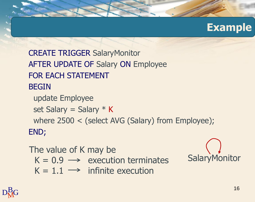

CREATE TRIGGER SalaryMonitor AFTER UPDATE OF Salary ON Employee FOR EACH STATEMENT BEGIN update Employee set Salary = Salary  $*$  K where 2500 < (select AVG (Salary) from Employee); END;

#### The value of K may be

- $K = 0.9 \rightarrow$  execution terminates
- $K = 1.1 \rightarrow$  infinite execution

**SalaryMonitor** 

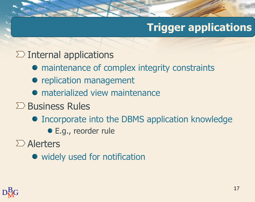# **Trigger applications**

### $\sum$  Internal applications

- maintenance of complex integrity constraints
- replication management
- **•** materialized view maintenance
- $\Sigma$  Business Rules
	- **Incorporate into the DBMS application knowledge** 
		- E.g., reorder rule

 $\sum$  Alerters

• widely used for notification

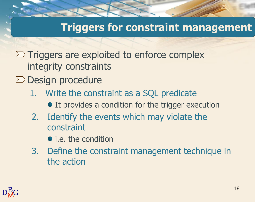## **Triggers for constraint management**

- $\Sigma$  Triggers are exploited to enforce complex integrity constraints
- $\Sigma$  Design procedure
	- 1. Write the constraint as a SQL predicate
		- It provides a condition for the trigger execution
	- 2. Identify the events which may violate the constraint
		- *i.e.* the condition
	- 3. Define the constraint management technique in the action

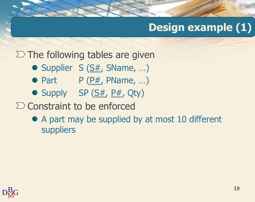### $\Sigma$  The following tables are given

- $\bullet$  Supplier S ( $S#$ , SName, ...)
- Part P  $(P#$ , PName, ...)
- Supply SP  $(S#, P#, Qty)$
- $\sum$  Constraint to be enforced
	- A part may be supplied by at most 10 different suppliers

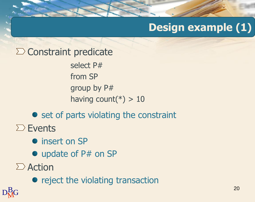### $\sum$  Constraint predicate

select P# from SP group by P# having count( $*) > 10$ 

### $\bullet$  set of parts violating the constraint

 $\Sigma$  Events

- **•** insert on SP
- update of P# on SP
- $\sum$  Action

• reject the violating transaction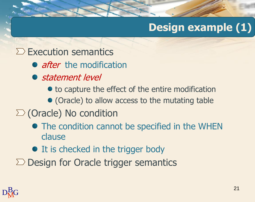### $\Sigma$  Execution semantics

- *after* the modification
- statement level
	- $\bullet$  to capture the effect of the entire modification
	- (Oracle) to allow access to the mutating table

### $\sum$  (Oracle) No condition

- The condition cannot be specified in the WHEN clause
- It is checked in the trigger body
- $\Sigma$  Design for Oracle trigger semantics

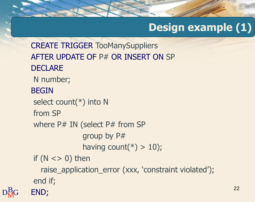```
D_{\rm M}^{\rm B}G END;
CREATE TRIGGER TooManySuppliers
AFTER UPDATE OF P# OR INSERT ON SP
DECLARE
 N number;
BEGIN
 select count(*) into N
 from SP
 where P# IN (select P# from SP
               group by P#
               having count(*) > 10);
 if (N \lt > 0) then
   raise_application_error (xxx, 'constraint violated');
 end if;
```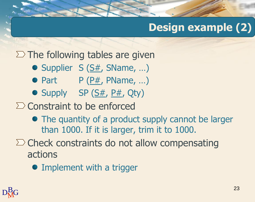## $\Sigma$  The following tables are given

- $\bullet$  Supplier S ( $S#$ , SName, ...)
- Part P  $(P#$ , PName, ...)
- $\bullet$  Supply SP ( $S#$ ,  $P#$ , Qty)

 $\Sigma$  Constraint to be enforced

- The quantity of a product supply cannot be larger than 1000. If it is larger, trim it to 1000.
- $\Sigma$  Check constraints do not allow compensating actions
	- Implement with a trigger

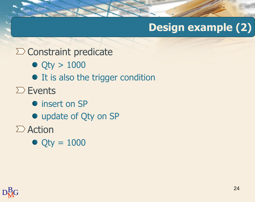### $\sum$  Constraint predicate

- $\bullet$  Qty > 1000
- It is also the trigger condition
- $\sum$  Events
	- $\bullet$  insert on SP
	- update of Qty on SP
- $\sum$  Action
	- $\bullet$  Qty = 1000

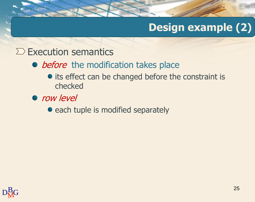### $\Sigma$  Execution semantics

- before the modification takes place
	- its effect can be changed before the constraint is checked
- row level
	- each tuple is modified separately